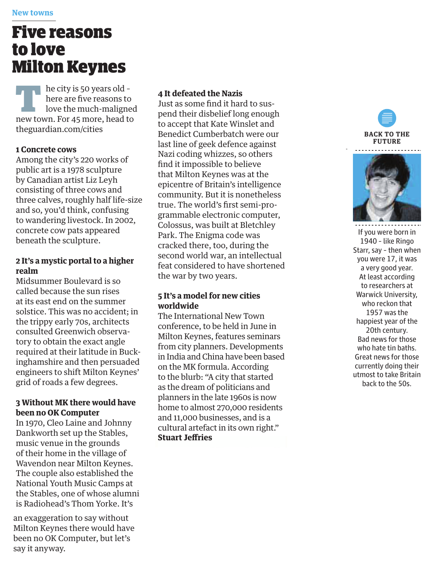# Five reasons to love Milton Keynes

he city is 50 years old –<br>here are five reasons to<br>love the much-maligned<br>new town. For 45 more, head to here are five reasons to new town. For 45 more, head to theguardian.com/cities

#### **1 Concrete cows**

Among the city's 220 works of public art is a 1978 sculpture by Canadian artist Liz Leyh consisting of three cows and three calves, roughly half life-size and so, you'd think, confusing to wandering livestock. In 2002, concrete cow pats appeared beneath the sculpture.

## **2 It's a mystic portal to a higher realm**

Midsummer Boulevard is so called because the sun rises at its east end on the summer solstice. This was no accident; in the trippy early 70s, architects consulted Greenwich observatory to obtain the exact angle required at their latitude in Buckinghamshire and then persuaded engineers to shift Milton Keynes' grid of roads a few degrees .

## **3 Without MK there would have been no OK Computer**

In 1970, Cleo Laine and Johnny Dankworth set up the Stables, music venue in the grounds of their home in the village of Wavendon near Milton Keynes. The couple also established the National Youth Music Camps at the Stables, one of whose alumni is Radiohead's Thom Yorke. It's

an exaggeration to say wit hout Milton Keynes there would have been no OK Computer, but let's say it anyway.

## **4 It defeated the Nazis**

Just as some find it hard to suspend their disbelief long enough to accept that Kate Winslet and Benedict Cumberbatch were our last line of geek defence against Nazi coding whizzes, so others<br>find it impossible to believe that Milton Keynes was at the epicentre of Britain's intelligence community. But it is nonetheless true. The world's first semi-programmable electronic computer, Colossus, was built at Bletchley Park. The Enigma code was cracked there, too, during the second world war, an intellectual feat considered to have shortened the war by two years.

## **5 It's a model for new cities worldwide**

The International New Town conference, to be held in June in Milton Keynes, features seminars from city planners. Developments in India and China have been based on the MK formula. According to the blurb: "A city that started as the dream of politicians and planners in the late 1960s is now home to almost 270,000 residents and 11,000 businesses, and is a cultural artefact in its own right."  **Stuart Jeff Stuart Jeff ries**





If you were born in 1940 – like Ringo Starr, say – then when you were 17, it was a very good year. At least according to researchers at Warwick University, who reckon that 1957 was the happiest year of the 20th century. Bad news for those who hate tin baths. Great news for those currently doing their utmost to take Britain back to the 50s.